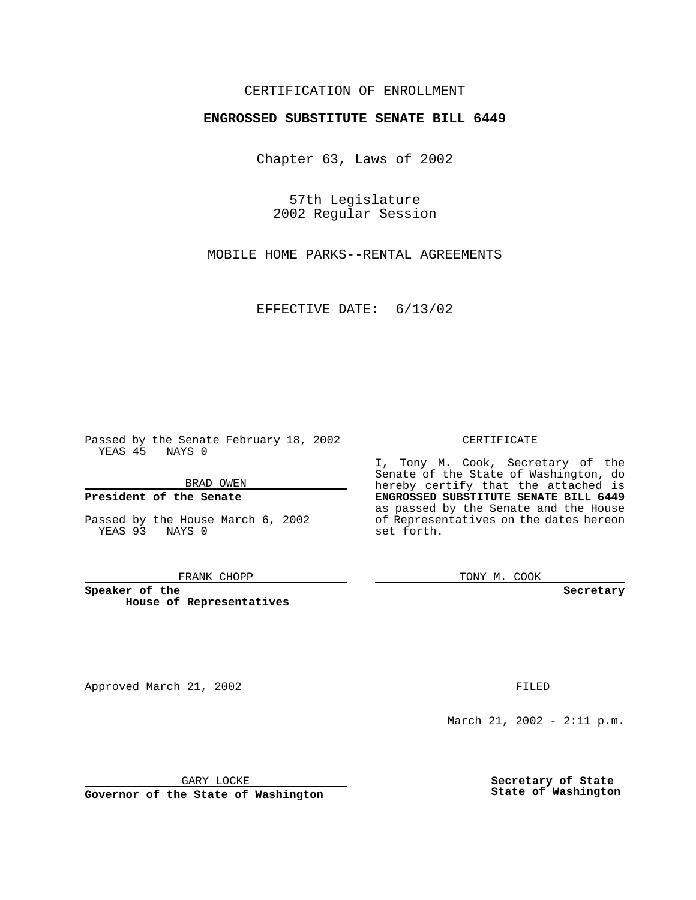# CERTIFICATION OF ENROLLMENT

# **ENGROSSED SUBSTITUTE SENATE BILL 6449**

Chapter 63, Laws of 2002

57th Legislature 2002 Regular Session

MOBILE HOME PARKS--RENTAL AGREEMENTS

EFFECTIVE DATE: 6/13/02

Passed by the Senate February 18, 2002 YEAS 45 NAYS 0

BRAD OWEN

### **President of the Senate**

Passed by the House March 6, 2002 YEAS 93 NAYS 0

#### FRANK CHOPP

**Speaker of the House of Representatives** I, Tony M. Cook, Secretary of the

CERTIFICATE

Senate of the State of Washington, do hereby certify that the attached is **ENGROSSED SUBSTITUTE SENATE BILL 6449** as passed by the Senate and the House of Representatives on the dates hereon set forth.

TONY M. COOK

**Secretary**

Approved March 21, 2002 **FILED** 

March 21, 2002 - 2:11 p.m.

GARY LOCKE

**Governor of the State of Washington**

**Secretary of State State of Washington**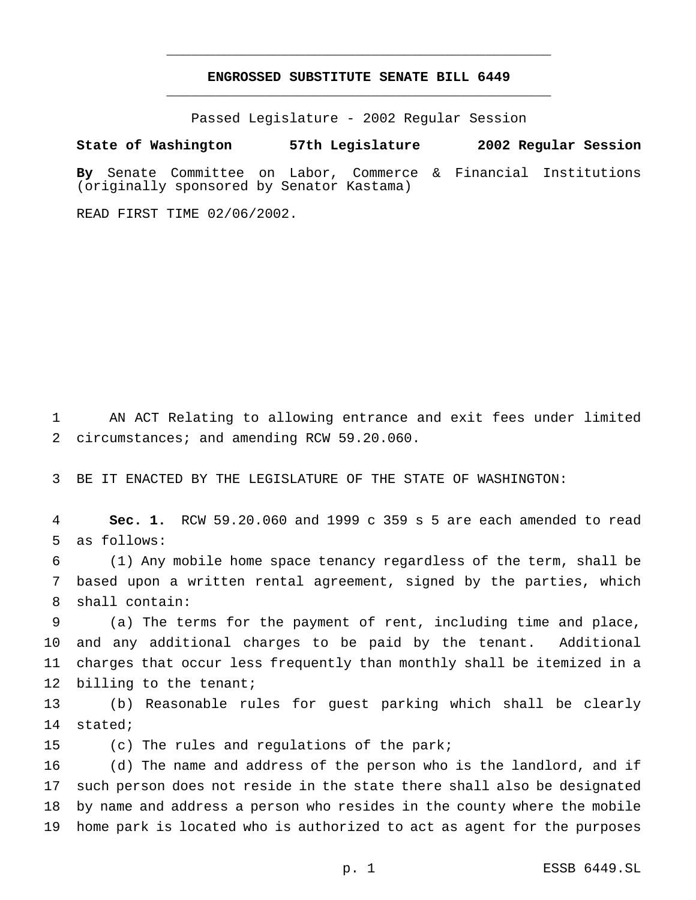# **ENGROSSED SUBSTITUTE SENATE BILL 6449** \_\_\_\_\_\_\_\_\_\_\_\_\_\_\_\_\_\_\_\_\_\_\_\_\_\_\_\_\_\_\_\_\_\_\_\_\_\_\_\_\_\_\_\_\_\_\_

\_\_\_\_\_\_\_\_\_\_\_\_\_\_\_\_\_\_\_\_\_\_\_\_\_\_\_\_\_\_\_\_\_\_\_\_\_\_\_\_\_\_\_\_\_\_\_

Passed Legislature - 2002 Regular Session

**State of Washington 57th Legislature 2002 Regular Session**

**By** Senate Committee on Labor, Commerce & Financial Institutions (originally sponsored by Senator Kastama)

READ FIRST TIME 02/06/2002.

 AN ACT Relating to allowing entrance and exit fees under limited 2 circumstances; and amending RCW 59.20.060.

BE IT ENACTED BY THE LEGISLATURE OF THE STATE OF WASHINGTON:

 **Sec. 1.** RCW 59.20.060 and 1999 c 359 s 5 are each amended to read as follows:

 (1) Any mobile home space tenancy regardless of the term, shall be based upon a written rental agreement, signed by the parties, which shall contain:

 (a) The terms for the payment of rent, including time and place, and any additional charges to be paid by the tenant. Additional charges that occur less frequently than monthly shall be itemized in a 12 billing to the tenant;

 (b) Reasonable rules for guest parking which shall be clearly stated;

(c) The rules and regulations of the park;

 (d) The name and address of the person who is the landlord, and if such person does not reside in the state there shall also be designated by name and address a person who resides in the county where the mobile home park is located who is authorized to act as agent for the purposes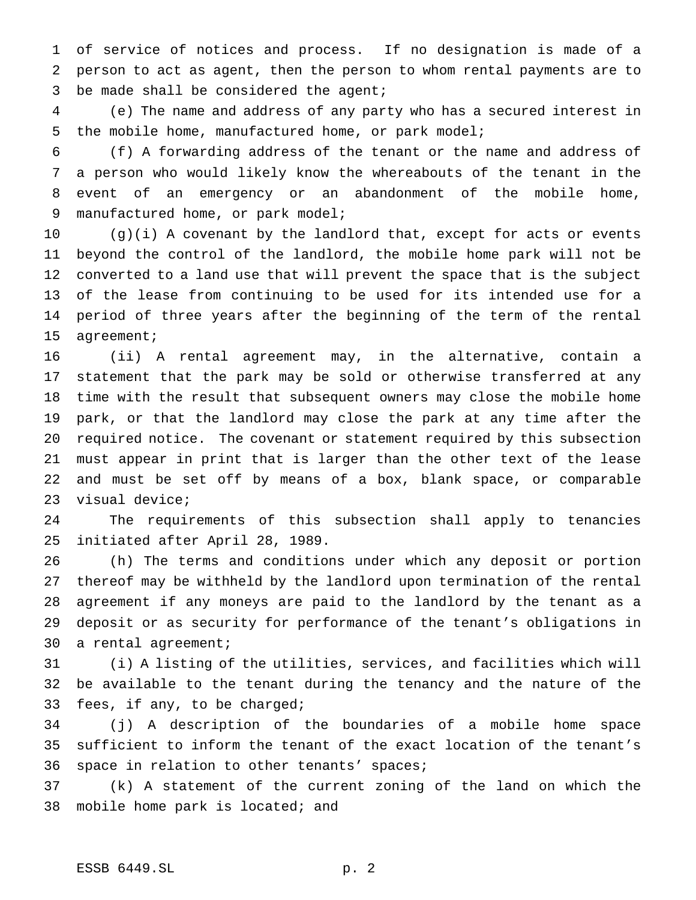of service of notices and process. If no designation is made of a person to act as agent, then the person to whom rental payments are to be made shall be considered the agent;

 (e) The name and address of any party who has a secured interest in the mobile home, manufactured home, or park model;

 (f) A forwarding address of the tenant or the name and address of a person who would likely know the whereabouts of the tenant in the event of an emergency or an abandonment of the mobile home, manufactured home, or park model;

 (g)(i) A covenant by the landlord that, except for acts or events beyond the control of the landlord, the mobile home park will not be converted to a land use that will prevent the space that is the subject of the lease from continuing to be used for its intended use for a period of three years after the beginning of the term of the rental agreement;

 (ii) A rental agreement may, in the alternative, contain a statement that the park may be sold or otherwise transferred at any time with the result that subsequent owners may close the mobile home park, or that the landlord may close the park at any time after the required notice. The covenant or statement required by this subsection must appear in print that is larger than the other text of the lease and must be set off by means of a box, blank space, or comparable visual device;

 The requirements of this subsection shall apply to tenancies initiated after April 28, 1989.

 (h) The terms and conditions under which any deposit or portion thereof may be withheld by the landlord upon termination of the rental agreement if any moneys are paid to the landlord by the tenant as a deposit or as security for performance of the tenant's obligations in a rental agreement;

 (i) A listing of the utilities, services, and facilities which will be available to the tenant during the tenancy and the nature of the fees, if any, to be charged;

 (j) A description of the boundaries of a mobile home space sufficient to inform the tenant of the exact location of the tenant's space in relation to other tenants' spaces;

 (k) A statement of the current zoning of the land on which the 38 mobile home park is located; and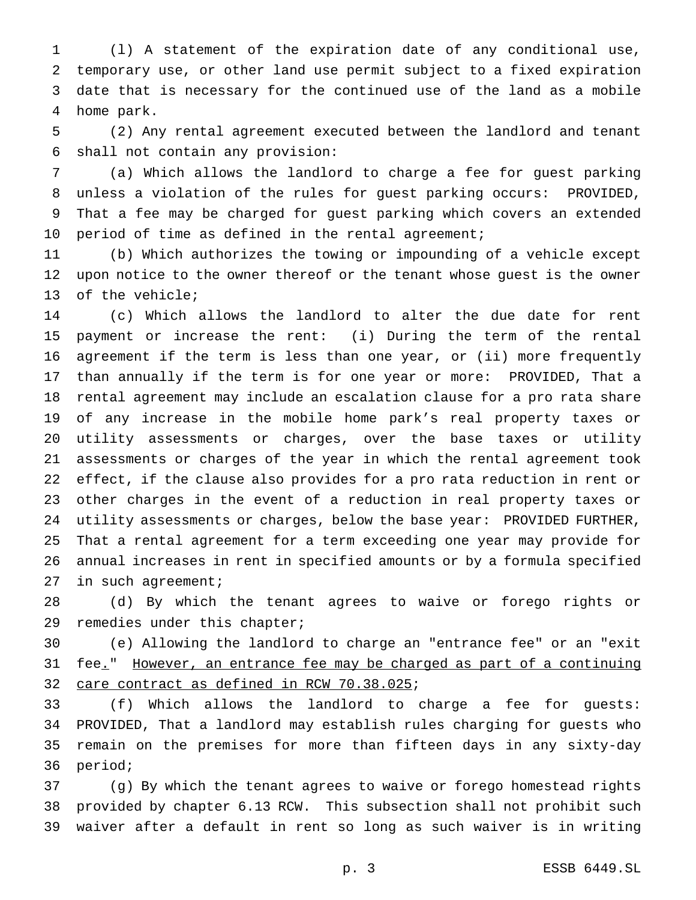(l) A statement of the expiration date of any conditional use, temporary use, or other land use permit subject to a fixed expiration date that is necessary for the continued use of the land as a mobile home park.

 (2) Any rental agreement executed between the landlord and tenant shall not contain any provision:

 (a) Which allows the landlord to charge a fee for guest parking unless a violation of the rules for guest parking occurs: PROVIDED, That a fee may be charged for guest parking which covers an extended period of time as defined in the rental agreement;

 (b) Which authorizes the towing or impounding of a vehicle except upon notice to the owner thereof or the tenant whose guest is the owner of the vehicle;

 (c) Which allows the landlord to alter the due date for rent payment or increase the rent: (i) During the term of the rental agreement if the term is less than one year, or (ii) more frequently than annually if the term is for one year or more: PROVIDED, That a rental agreement may include an escalation clause for a pro rata share of any increase in the mobile home park's real property taxes or utility assessments or charges, over the base taxes or utility assessments or charges of the year in which the rental agreement took effect, if the clause also provides for a pro rata reduction in rent or other charges in the event of a reduction in real property taxes or utility assessments or charges, below the base year: PROVIDED FURTHER, That a rental agreement for a term exceeding one year may provide for annual increases in rent in specified amounts or by a formula specified 27 in such agreement;

 (d) By which the tenant agrees to waive or forego rights or remedies under this chapter;

 (e) Allowing the landlord to charge an "entrance fee" or an "exit fee." However, an entrance fee may be charged as part of a continuing care contract as defined in RCW 70.38.025;

 (f) Which allows the landlord to charge a fee for guests: PROVIDED, That a landlord may establish rules charging for guests who remain on the premises for more than fifteen days in any sixty-day period;

 (g) By which the tenant agrees to waive or forego homestead rights provided by chapter 6.13 RCW. This subsection shall not prohibit such waiver after a default in rent so long as such waiver is in writing